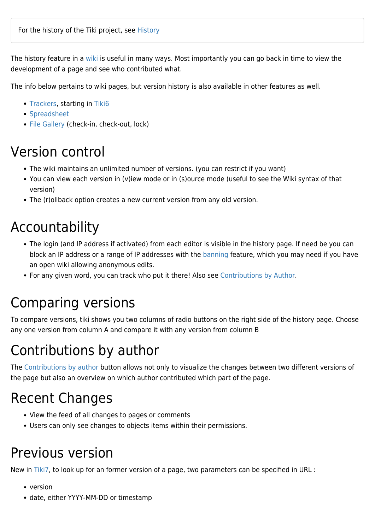The history feature in a [wiki](https://doc.tiki.org/Wiki) is useful in many ways. Most importantly you can go back in time to view the development of a page and see who contributed what.

The info below pertains to wiki pages, but version history is also available in other features as well.

- [Trackers,](https://doc.tiki.org/Trackers) starting in [Tiki6](https://doc.tiki.org/Tiki6)
- [Spreadsheet](https://doc.tiki.org/Spreadsheet)
- [File Gallery](https://doc.tiki.org/File-Gallery) (check-in, check-out, lock)

#### Version control

- The wiki maintains an unlimited number of versions. (you can restrict if you want)
- You can view each version in (v)iew mode or in (s)ource mode (useful to see the Wiki syntax of that version)
- The (r)ollback option creates a new current version from any old version.

### Accountability

- The login (and IP address if activated) from each editor is visible in the history page. If need be you can block an IP address or a range of IP addresses with the [banning](https://doc.tiki.org/Banning) feature, which you may need if you have an open wiki allowing anonymous edits.
- For any given word, you can track who put it there! Also see [Contributions by Author](https://doc.tiki.org/Contributions-by-Author).

### Comparing versions

To compare versions, tiki shows you two columns of radio buttons on the right side of the history page. Choose any one version from column A and compare it with any version from column B

# Contributions by author

The [Contributions by author](https://doc.tiki.org/Contributions-by-Author) button allows not only to visualize the changes between two different versions of the page but also an overview on which author contributed which part of the page.

# Recent Changes

- View the feed of all changes to pages or comments
- Users can only see changes to objects items within their permissions.

### Previous version

New in [Tiki7,](https://doc.tiki.org/Tiki7) to look up for an former version of a page, two parameters can be specified in URL :

- version
- date, either YYYY-MM-DD or timestamp